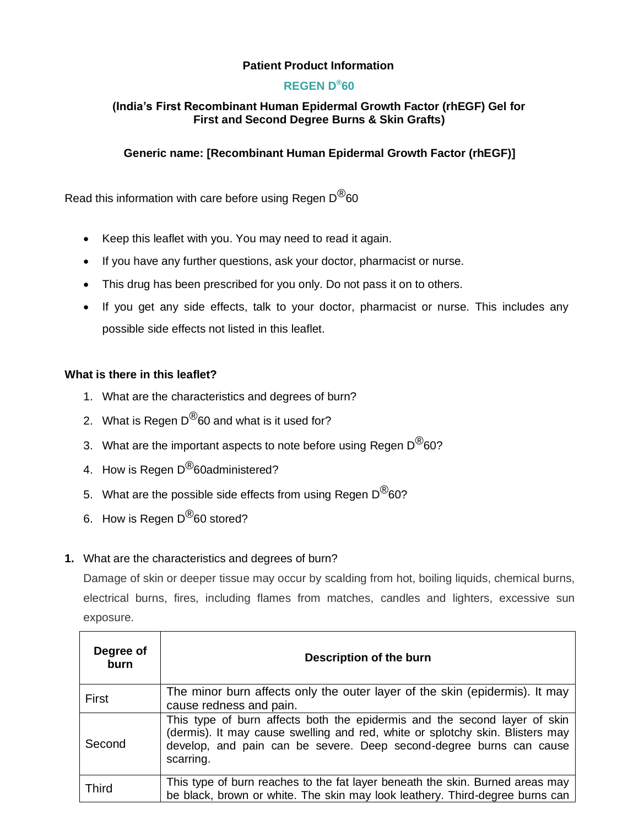## **Patient Product Information**

## **REGEN D®60**

## **(India's First Recombinant Human Epidermal Growth Factor (rhEGF) Gel for First and Second Degree Burns & Skin Grafts)**

## **Generic name: [Recombinant Human Epidermal Growth Factor (rhEGF)]**

Read this information with care before using Regen  $D^{(8)}$ 60

- Keep this leaflet with you. You may need to read it again.
- If you have any further questions, ask your doctor, pharmacist or nurse.
- This drug has been prescribed for you only. Do not pass it on to others.
- If you get any side effects, talk to your doctor, pharmacist or nurse. This includes any possible side effects not listed in this leaflet.

#### **What is there in this leaflet?**

- 1. What are the characteristics and degrees of burn?
- 2. What is Regen  $D^{\textcircled{B}}$ 60 and what is it used for?
- 3. What are the important aspects to note before using Regen  $D^{\textcircled{\tiny{\textcirc}}}$ 60?
- 4. How is Regen D<sup>®</sup>60administered?
- 5. What are the possible side effects from using Regen  $D^{\circledR}$ 60?
- 6. How is Regen D<sup>®</sup>60 stored?

#### **1.** What are the characteristics and degrees of burn?

Damage of skin or deeper tissue may occur by scalding from hot, boiling liquids, chemical burns, electrical burns, fires, including flames from matches, candles and lighters, excessive sun exposure.

| Degree of<br>burn | Description of the burn                                                                                                                                                                                                                        |
|-------------------|------------------------------------------------------------------------------------------------------------------------------------------------------------------------------------------------------------------------------------------------|
| First             | The minor burn affects only the outer layer of the skin (epidermis). It may<br>cause redness and pain.                                                                                                                                         |
| Second            | This type of burn affects both the epidermis and the second layer of skin<br>(dermis). It may cause swelling and red, white or splotchy skin. Blisters may<br>develop, and pain can be severe. Deep second-degree burns can cause<br>scarring. |
| <b>Third</b>      | This type of burn reaches to the fat layer beneath the skin. Burned areas may<br>be black, brown or white. The skin may look leathery. Third-degree burns can                                                                                  |